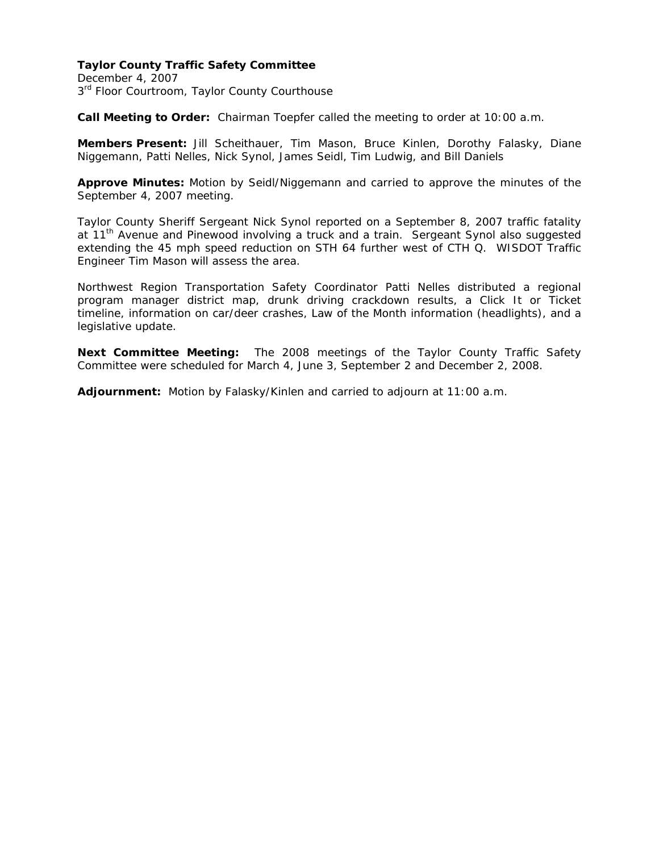## **Taylor County Traffic Safety Committee**

December 4, 2007 3<sup>rd</sup> Floor Courtroom, Taylor County Courthouse

**Call Meeting to Order:** Chairman Toepfer called the meeting to order at 10:00 a.m.

**Members Present:** Jill Scheithauer, Tim Mason, Bruce Kinlen, Dorothy Falasky, Diane Niggemann, Patti Nelles, Nick Synol, James Seidl, Tim Ludwig, and Bill Daniels

**Approve Minutes:** Motion by Seidl/Niggemann and carried to approve the minutes of the September 4, 2007 meeting.

Taylor County Sheriff Sergeant Nick Synol reported on a September 8, 2007 traffic fatality at 11<sup>th</sup> Avenue and Pinewood involving a truck and a train. Sergeant Synol also suggested extending the 45 mph speed reduction on STH 64 further west of CTH Q. WISDOT Traffic Engineer Tim Mason will assess the area.

Northwest Region Transportation Safety Coordinator Patti Nelles distributed a regional program manager district map, drunk driving crackdown results, a Click It or Ticket timeline, information on car/deer crashes, Law of the Month information (headlights), and a legislative update.

**Next Committee Meeting:** The 2008 meetings of the Taylor County Traffic Safety Committee were scheduled for March 4, June 3, September 2 and December 2, 2008.

**Adjournment:** Motion by Falasky/Kinlen and carried to adjourn at 11:00 a.m.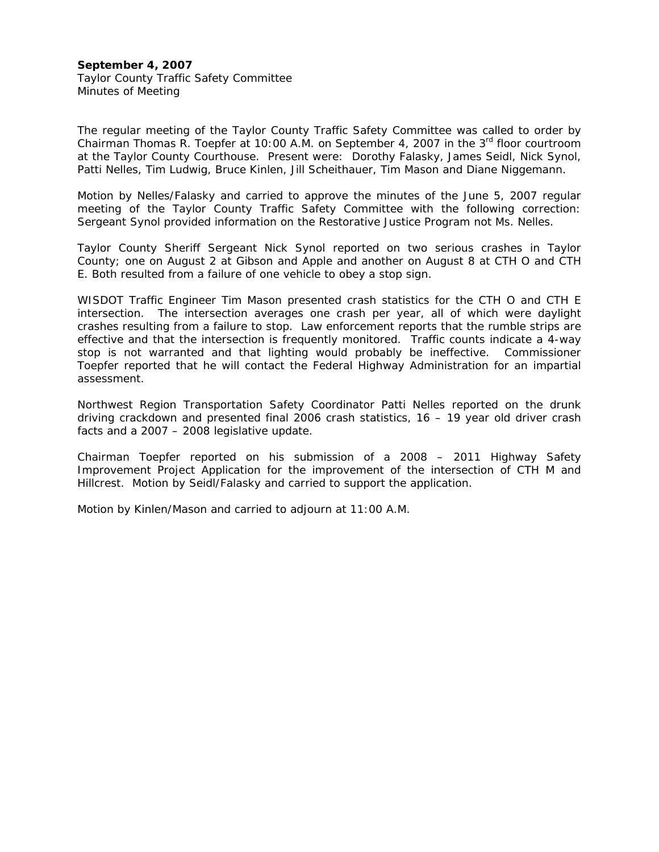## **September 4, 2007**  Taylor County Traffic Safety Committee

Minutes of Meeting

The regular meeting of the Taylor County Traffic Safety Committee was called to order by Chairman Thomas R. Toepfer at 10:00 A.M. on September 4, 2007 in the 3rd floor courtroom at the Taylor County Courthouse. Present were: Dorothy Falasky, James Seidl, Nick Synol, Patti Nelles, Tim Ludwig, Bruce Kinlen, Jill Scheithauer, Tim Mason and Diane Niggemann.

Motion by Nelles/Falasky and carried to approve the minutes of the June 5, 2007 regular meeting of the Taylor County Traffic Safety Committee with the following correction: Sergeant Synol provided information on the Restorative Justice Program not Ms. Nelles.

Taylor County Sheriff Sergeant Nick Synol reported on two serious crashes in Taylor County; one on August 2 at Gibson and Apple and another on August 8 at CTH O and CTH E. Both resulted from a failure of one vehicle to obey a stop sign.

WISDOT Traffic Engineer Tim Mason presented crash statistics for the CTH O and CTH E intersection. The intersection averages one crash per year, all of which were daylight crashes resulting from a failure to stop. Law enforcement reports that the rumble strips are effective and that the intersection is frequently monitored. Traffic counts indicate a 4-way stop is not warranted and that lighting would probably be ineffective. Commissioner Toepfer reported that he will contact the Federal Highway Administration for an impartial assessment.

Northwest Region Transportation Safety Coordinator Patti Nelles reported on the drunk driving crackdown and presented final 2006 crash statistics, 16 – 19 year old driver crash facts and a 2007 – 2008 legislative update.

Chairman Toepfer reported on his submission of a 2008 – 2011 Highway Safety Improvement Project Application for the improvement of the intersection of CTH M and Hillcrest. Motion by Seidl/Falasky and carried to support the application.

Motion by Kinlen/Mason and carried to adjourn at 11:00 A.M.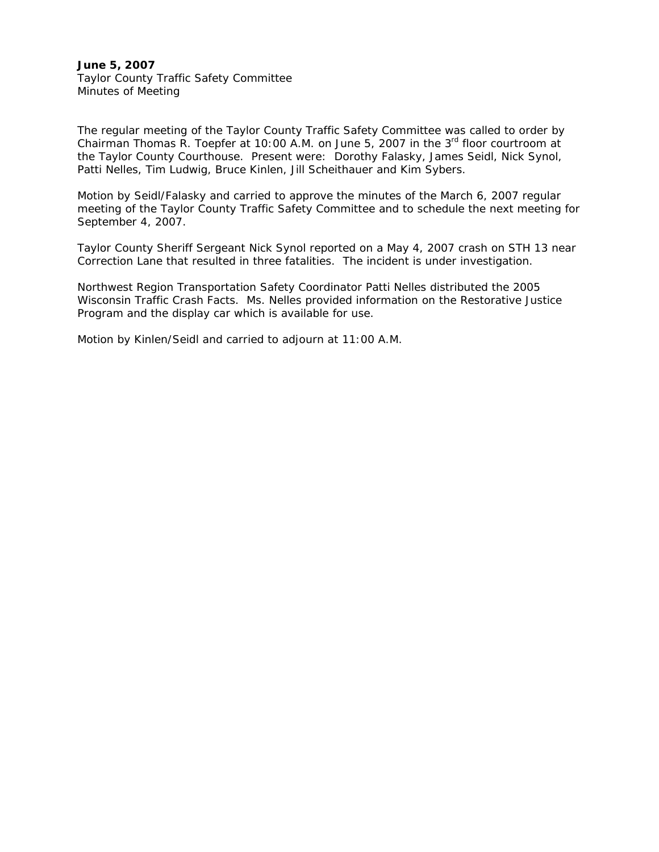## **June 5, 2007** Taylor County Traffic Safety Committee Minutes of Meeting

The regular meeting of the Taylor County Traffic Safety Committee was called to order by Chairman Thomas R. Toepfer at 10:00 A.M. on June 5, 2007 in the  $3<sup>rd</sup>$  floor courtroom at the Taylor County Courthouse. Present were: Dorothy Falasky, James Seidl, Nick Synol, Patti Nelles, Tim Ludwig, Bruce Kinlen, Jill Scheithauer and Kim Sybers.

Motion by Seidl/Falasky and carried to approve the minutes of the March 6, 2007 regular meeting of the Taylor County Traffic Safety Committee and to schedule the next meeting for September 4, 2007.

Taylor County Sheriff Sergeant Nick Synol reported on a May 4, 2007 crash on STH 13 near Correction Lane that resulted in three fatalities. The incident is under investigation.

Northwest Region Transportation Safety Coordinator Patti Nelles distributed the 2005 Wisconsin Traffic Crash Facts. Ms. Nelles provided information on the Restorative Justice Program and the display car which is available for use.

Motion by Kinlen/Seidl and carried to adjourn at 11:00 A.M.